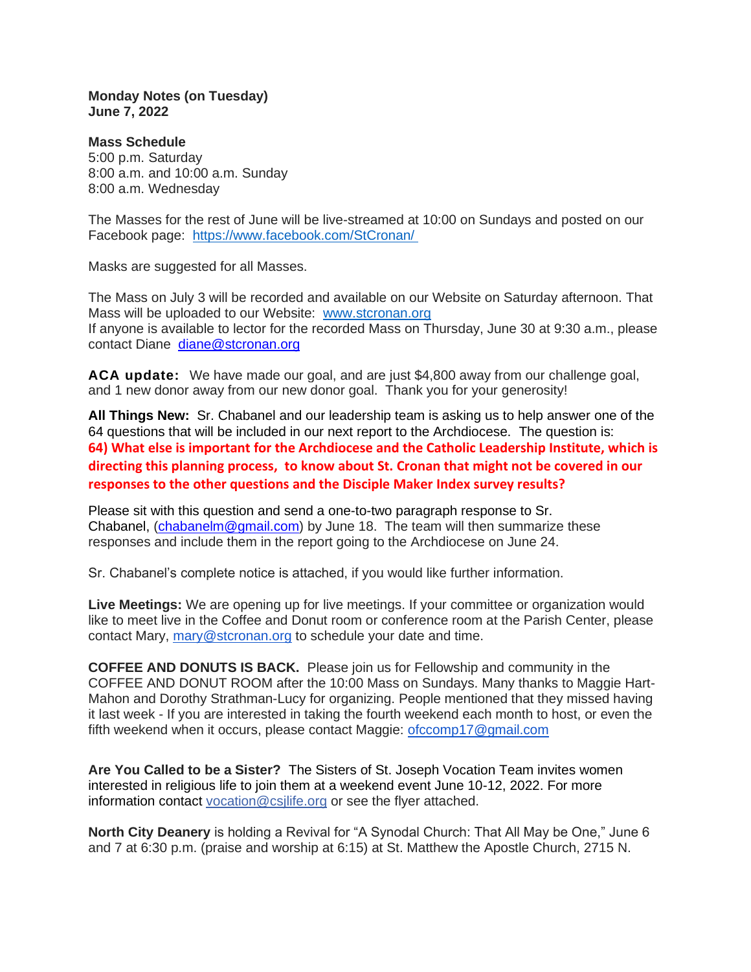**Monday Notes (on Tuesday) June 7, 2022**

**Mass Schedule** 5:00 p.m. Saturday 8:00 a.m. and 10:00 a.m. Sunday 8:00 a.m. Wednesday

The Masses for the rest of June will be live-streamed at 10:00 on Sundays and posted on our Facebook page: <https://www.facebook.com/StCronan/>

Masks are suggested for all Masses.

The Mass on July 3 will be recorded and available on our Website on Saturday afternoon. That Mass will be uploaded to our Website: [www.stcronan.org](http://www.stcronan.org/) If anyone is available to lector for the recorded Mass on Thursday, June 30 at 9:30 a.m., please contact Diane [diane@stcronan.org](mailto:diane@stcronan.org)

**ACA update:** We have made our goal, and are just \$4,800 away from our challenge goal, and 1 new donor away from our new donor goal. Thank you for your generosity!

**All Things New:** Sr. Chabanel and our leadership team is asking us to help answer one of the 64 questions that will be included in our next report to the Archdiocese. The question is: **64) What else is important for the Archdiocese and the Catholic Leadership Institute, which is directing this planning process, to know about St. Cronan that might not be covered in our responses to the other questions and the Disciple Maker Index survey results?**

Please sit with this question and send a one-to-two paragraph response to Sr. Chabanel, [\(chabanelm@gmail.com\)](mailto:chabanelm@gmail.com) by June 18. The team will then summarize these responses and include them in the report going to the Archdiocese on June 24.

Sr. Chabanel's complete notice is attached, if you would like further information.

**Live Meetings:** We are opening up for live meetings. If your committee or organization would like to meet live in the Coffee and Donut room or conference room at the Parish Center, please contact Mary, [mary@stcronan.org](mailto:mary@stcronan.org) to schedule your date and time.

**COFFEE AND DONUTS IS BACK.** Please join us for Fellowship and community in the COFFEE AND DONUT ROOM after the 10:00 Mass on Sundays. Many thanks to Maggie Hart-Mahon and Dorothy Strathman-Lucy for organizing. People mentioned that they missed having it last week - If you are interested in taking the fourth weekend each month to host, or even the fifth weekend when it occurs, please contact Maggie: [ofccomp17@gmail.com](mailto:ofccomp17@gmail.com)

**Are You Called to be a Sister?** The Sisters of St. Joseph Vocation Team invites women interested in religious life to join them at a weekend event June 10-12, 2022. For more information contact [vocation@csjlife.org](mailto:vocation@csjlife.org) or see the flyer attached.

**North City Deanery** is holding a Revival for "A Synodal Church: That All May be One," June 6 and 7 at 6:30 p.m. (praise and worship at 6:15) at St. Matthew the Apostle Church, 2715 N.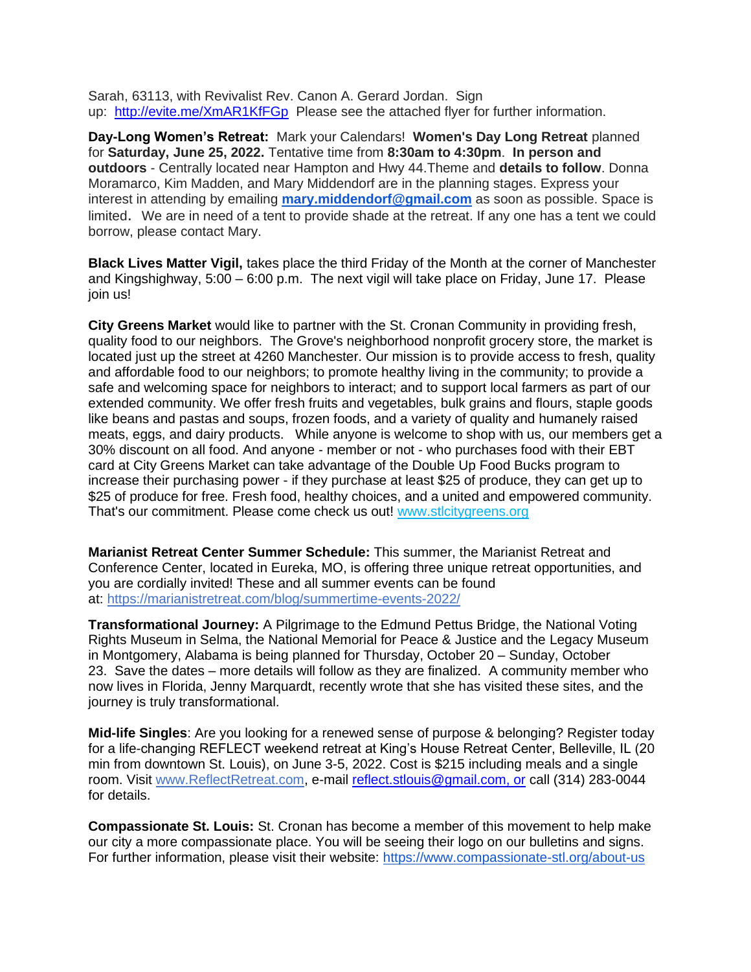Sarah, 63113, with Revivalist Rev. Canon A. Gerard Jordan. Sign up: <http://evite.me/XmAR1KfFGp> Please see the attached flyer for further information.

**Day-Long Women's Retreat:** Mark your Calendars! **Women's Day Long Retreat** planned for **Saturday, June 25, 2022.** Tentative time from **8:30am to 4:30pm**. **In person and outdoors** - Centrally located near Hampton and Hwy 44.Theme and **details to follow**. Donna Moramarco, Kim Madden, and Mary Middendorf are in the planning stages. Express your interest in attending by emailing **[mary.middendorf@gmail.com](mailto:mary.middendorf@gmail.com)** as soon as possible. Space is limited. We are in need of a tent to provide shade at the retreat. If any one has a tent we could borrow, please contact Mary.

**Black Lives Matter Vigil,** takes place the third Friday of the Month at the corner of Manchester and Kingshighway, 5:00 – 6:00 p.m. The next vigil will take place on Friday, June 17. Please join us!

**City Greens Market** would like to partner with the St. Cronan Community in providing fresh, quality food to our neighbors. The Grove's neighborhood nonprofit grocery store, the market is located just up the street at 4260 Manchester. Our mission is to provide access to fresh, quality and affordable food to our neighbors; to promote healthy living in the community; to provide a safe and welcoming space for neighbors to interact; and to support local farmers as part of our extended community. We offer fresh fruits and vegetables, bulk grains and flours, staple goods like beans and pastas and soups, frozen foods, and a variety of quality and humanely raised meats, eggs, and dairy products. While anyone is welcome to shop with us, our members get a 30% discount on all food. And anyone - member or not - who purchases food with their EBT card at City Greens Market can take advantage of the Double Up Food Bucks program to increase their purchasing power - if they purchase at least \$25 of produce, they can get up to \$25 of produce for free. Fresh food, healthy choices, and a united and empowered community. That's our commitment. Please come check us out! [www.stlcitygreens.org](http://www.stlcitygreens.org/)

**Marianist Retreat Center Summer Schedule:** This summer, the Marianist Retreat and Conference Center, located in Eureka, MO, is offering three unique retreat opportunities, and you are cordially invited! These and all summer events can be found at: <https://marianistretreat.com/blog/summertime-events-2022/>

**Transformational Journey:** A Pilgrimage to the Edmund Pettus Bridge, the National Voting Rights Museum in Selma, the National Memorial for Peace & Justice and the Legacy Museum in Montgomery, Alabama is being planned for Thursday, October 20 – Sunday, October 23. Save the dates – more details will follow as they are finalized. A community member who now lives in Florida, Jenny Marquardt, recently wrote that she has visited these sites, and the journey is truly transformational.

**Mid-life Singles**: Are you looking for a renewed sense of purpose & belonging? Register today for a life-changing REFLECT weekend retreat at King's House Retreat Center, Belleville, IL (20 min from downtown St. Louis), on June 3-5, 2022. Cost is \$215 including meals and a single room. Visit [www.ReflectRetreat.com,](http://www.reflectretreat.com/) e-mail [reflect.stlouis@gmail.com, or](mailto:reflect.stlouis@gmail.com) call (314) 283-0044 for details.

**Compassionate St. Louis:** St. Cronan has become a member of this movement to help make our city a more compassionate place. You will be seeing their logo on our bulletins and signs. For further information, please visit their website: <https://www.compassionate-stl.org/about-us>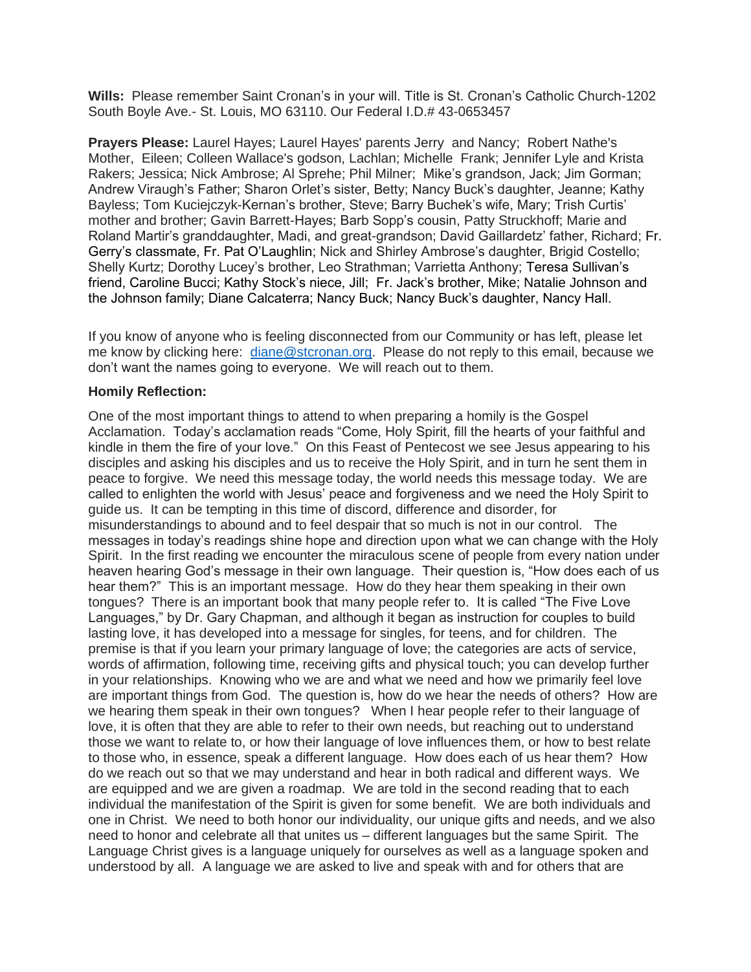**Wills:** Please remember Saint Cronan's in your will. Title is St. Cronan's Catholic Church-1202 South Boyle Ave.- St. Louis, MO 63110. Our Federal I.D.# 43-0653457

**Prayers Please:** Laurel Hayes; Laurel Hayes' parents Jerry and Nancy; Robert Nathe's Mother, Eileen; Colleen Wallace's godson, Lachlan; Michelle Frank; Jennifer Lyle and Krista Rakers; Jessica; Nick Ambrose; Al Sprehe; Phil Milner; Mike's grandson, Jack; Jim Gorman; Andrew Viraugh's Father; Sharon Orlet's sister, Betty; Nancy Buck's daughter, Jeanne; Kathy Bayless; Tom Kuciejczyk-Kernan's brother, Steve; Barry Buchek's wife, Mary; Trish Curtis' mother and brother; Gavin Barrett-Hayes; Barb Sopp's cousin, Patty Struckhoff; Marie and Roland Martir's granddaughter, Madi, and great-grandson; David Gaillardetz' father, Richard; Fr. Gerry's classmate, Fr. Pat O'Laughlin; Nick and Shirley Ambrose's daughter, Brigid Costello; Shelly Kurtz; Dorothy Lucey's brother, Leo Strathman; Varrietta Anthony; Teresa Sullivan's friend, Caroline Bucci; Kathy Stock's niece, Jill; Fr. Jack's brother, Mike; Natalie Johnson and the Johnson family; Diane Calcaterra; Nancy Buck; Nancy Buck's daughter, Nancy Hall.

If you know of anyone who is feeling disconnected from our Community or has left, please let me know by clicking here: [diane@stcronan.org.](mailto:diane@stcronan.org) Please do not reply to this email, because we don't want the names going to everyone. We will reach out to them.

## **Homily Reflection:**

One of the most important things to attend to when preparing a homily is the Gospel Acclamation. Today's acclamation reads "Come, Holy Spirit, fill the hearts of your faithful and kindle in them the fire of your love." On this Feast of Pentecost we see Jesus appearing to his disciples and asking his disciples and us to receive the Holy Spirit, and in turn he sent them in peace to forgive. We need this message today, the world needs this message today. We are called to enlighten the world with Jesus' peace and forgiveness and we need the Holy Spirit to guide us. It can be tempting in this time of discord, difference and disorder, for misunderstandings to abound and to feel despair that so much is not in our control. The messages in today's readings shine hope and direction upon what we can change with the Holy Spirit. In the first reading we encounter the miraculous scene of people from every nation under heaven hearing God's message in their own language. Their question is, "How does each of us hear them?" This is an important message. How do they hear them speaking in their own tongues? There is an important book that many people refer to. It is called "The Five Love Languages," by Dr. Gary Chapman, and although it began as instruction for couples to build lasting love, it has developed into a message for singles, for teens, and for children. The premise is that if you learn your primary language of love; the categories are acts of service, words of affirmation, following time, receiving gifts and physical touch; you can develop further in your relationships. Knowing who we are and what we need and how we primarily feel love are important things from God. The question is, how do we hear the needs of others? How are we hearing them speak in their own tongues? When I hear people refer to their language of love, it is often that they are able to refer to their own needs, but reaching out to understand those we want to relate to, or how their language of love influences them, or how to best relate to those who, in essence, speak a different language. How does each of us hear them? How do we reach out so that we may understand and hear in both radical and different ways. We are equipped and we are given a roadmap. We are told in the second reading that to each individual the manifestation of the Spirit is given for some benefit. We are both individuals and one in Christ. We need to both honor our individuality, our unique gifts and needs, and we also need to honor and celebrate all that unites us – different languages but the same Spirit. The Language Christ gives is a language uniquely for ourselves as well as a language spoken and understood by all. A language we are asked to live and speak with and for others that are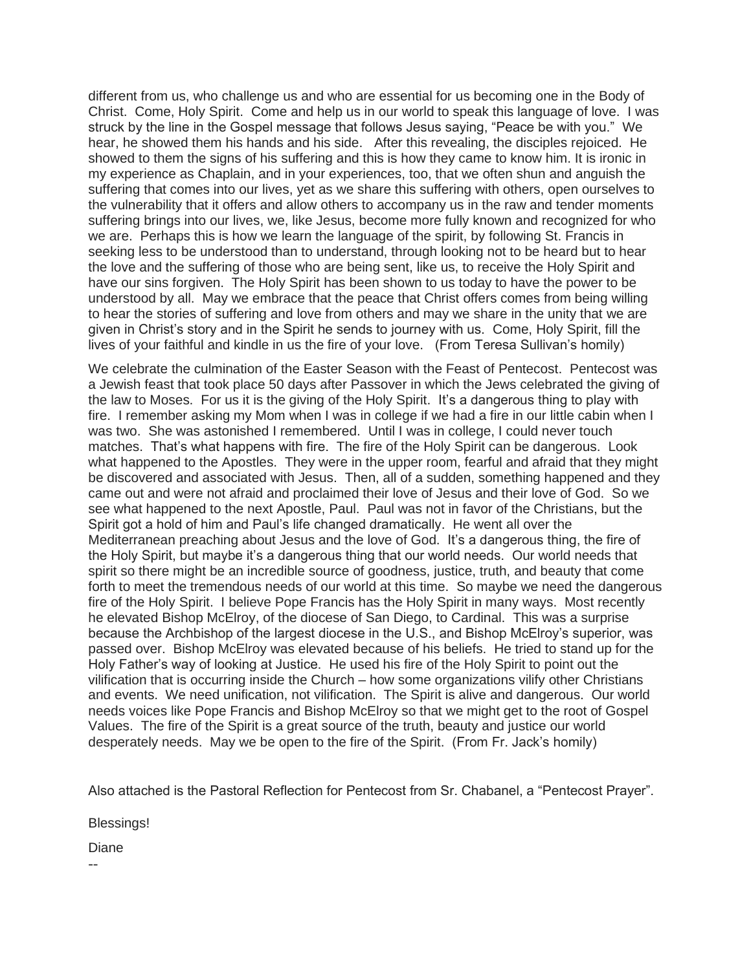different from us, who challenge us and who are essential for us becoming one in the Body of Christ. Come, Holy Spirit. Come and help us in our world to speak this language of love. I was struck by the line in the Gospel message that follows Jesus saying, "Peace be with you." We hear, he showed them his hands and his side. After this revealing, the disciples rejoiced. He showed to them the signs of his suffering and this is how they came to know him. It is ironic in my experience as Chaplain, and in your experiences, too, that we often shun and anguish the suffering that comes into our lives, yet as we share this suffering with others, open ourselves to the vulnerability that it offers and allow others to accompany us in the raw and tender moments suffering brings into our lives, we, like Jesus, become more fully known and recognized for who we are. Perhaps this is how we learn the language of the spirit, by following St. Francis in seeking less to be understood than to understand, through looking not to be heard but to hear the love and the suffering of those who are being sent, like us, to receive the Holy Spirit and have our sins forgiven. The Holy Spirit has been shown to us today to have the power to be understood by all. May we embrace that the peace that Christ offers comes from being willing to hear the stories of suffering and love from others and may we share in the unity that we are given in Christ's story and in the Spirit he sends to journey with us. Come, Holy Spirit, fill the lives of your faithful and kindle in us the fire of your love. (From Teresa Sullivan's homily)

We celebrate the culmination of the Easter Season with the Feast of Pentecost. Pentecost was a Jewish feast that took place 50 days after Passover in which the Jews celebrated the giving of the law to Moses. For us it is the giving of the Holy Spirit. It's a dangerous thing to play with fire. I remember asking my Mom when I was in college if we had a fire in our little cabin when I was two. She was astonished I remembered. Until I was in college, I could never touch matches. That's what happens with fire. The fire of the Holy Spirit can be dangerous. Look what happened to the Apostles. They were in the upper room, fearful and afraid that they might be discovered and associated with Jesus. Then, all of a sudden, something happened and they came out and were not afraid and proclaimed their love of Jesus and their love of God. So we see what happened to the next Apostle, Paul. Paul was not in favor of the Christians, but the Spirit got a hold of him and Paul's life changed dramatically. He went all over the Mediterranean preaching about Jesus and the love of God. It's a dangerous thing, the fire of the Holy Spirit, but maybe it's a dangerous thing that our world needs. Our world needs that spirit so there might be an incredible source of goodness, justice, truth, and beauty that come forth to meet the tremendous needs of our world at this time. So maybe we need the dangerous fire of the Holy Spirit. I believe Pope Francis has the Holy Spirit in many ways. Most recently he elevated Bishop McElroy, of the diocese of San Diego, to Cardinal. This was a surprise because the Archbishop of the largest diocese in the U.S., and Bishop McElroy's superior, was passed over. Bishop McElroy was elevated because of his beliefs. He tried to stand up for the Holy Father's way of looking at Justice. He used his fire of the Holy Spirit to point out the vilification that is occurring inside the Church – how some organizations vilify other Christians and events. We need unification, not vilification. The Spirit is alive and dangerous. Our world needs voices like Pope Francis and Bishop McElroy so that we might get to the root of Gospel Values. The fire of the Spirit is a great source of the truth, beauty and justice our world desperately needs. May we be open to the fire of the Spirit. (From Fr. Jack's homily)

Also attached is the Pastoral Reflection for Pentecost from Sr. Chabanel, a "Pentecost Prayer".

Blessings!

Diane

--